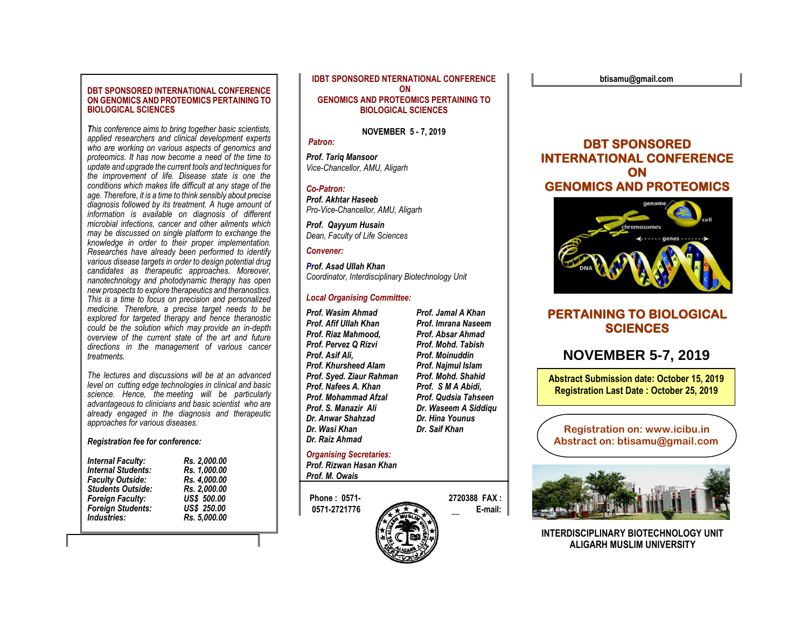### **DBT SPONSORED INTERNATIONAL CONFERENCE ON GENOMICS AND PROTEOMICS PERTAINING TO BIOLOGICAL SCIENCES**

*This conference aims to bring together basic scientists, applied researchers and clinical development experts who are working on various aspects of genomics and proteomics. It has now become a need of the time to update and upgrade the current tools and techniques for the improvement of life. Disease state is one the conditions which makes life difficult at any stage of the age. Therefore, it is a time to think sensibly about precise diagnosis followed by its treatment. A huge amount of information is available on diagnosis of different microbial infections, cancer and other ailments which may be discussed on single platform to exchange the knowledge in order to their proper implementation. Researches have already been performed to identify various disease targets in order to design potential drug candidates as therapeutic approaches. Moreover, nanotechnology and photodynamic therapy has open new prospects to explore therapeutics and theranostics. This is a time to focus on precision and personalized medicine. Therefore, a precise target needs to be explored for targeted therapy and hence theranostic could be the solution which may provide an in-depth overview of the current state of the art and future directions in the management of various cancer treatments.*

*The lectures and discussions will be at an advanced level on cutting edge technologies in clinical and basic science. Hence, the meeting will be particularly advantageous to clinicians and basic scientist who are already engaged in the diagnosis and therapeutic approaches for various diseases.*

### *Registration fee for conference:*

| <b>Internal Faculty:</b>  | Rs. 2,000.00       |
|---------------------------|--------------------|
| <b>Internal Students:</b> | Rs. 1,000.00       |
| <b>Faculty Outside:</b>   | Rs. 4,000.00       |
| <b>Students Outside:</b>  | Rs. 2,000.00       |
| <b>Foreign Faculty:</b>   | <b>US\$ 500.00</b> |
| Foreign Students:         | US\$ 250.00        |
| Industries:               | Rs. 5.000.00       |

**IDBT SPONSORED NTERNATIONAL CONFERENCE ON GENOMICS AND PROTEOMICS PERTAINING TO BIOLOGICAL SCIENCES**

**NOVEMBER 5 - 7, 2019**

*Patron:*

*Prof. Tariq Mansoor Vice-Chancellor, AMU, Aligarh*

### *Co-Patron:*

*Prof. Akhtar Haseeb Pro-Vice-Chancellor, AMU, Aligarh*

*Prof. Qayyum Husain Dean, Faculty of Life Sciences*

## *Convener:*

*Prof. Asad Ullah Khan Coordinator, Interdisciplinary Biotechnology Unit*

## *Local Organising Committee:*

*Prof. Wasim Ahmad Prof. Jamal A Khan* **Prof. Afif Ullah Khan Prof. Imrana Naseem** *Prof. Riaz Mahmood, Prof. Absar Ahmad Prof. Pervez Q Rizvi Prof. Mohd. Tabish Prof. Asif Ali, Prof. Moinuddin Prof. Khursheed Alam Prof. Najmul Islam Prof. Syed. Ziaur Rahman Prof. Mohd. Shahid Prof. Nafees A. Khan Prof. Mohammad Afzal Prof. Qudsia Tahseen Prof. S. Manazir Ali Dr. Waseem A Siddiqu Dr. Anwar Shahzad Dr. Hina Younus Dr.* Wasi Khan *Dr. Raiz Ahmad*

# *Organising Secretaries:*

*Prof. Rizwan Hasan Khan Prof. M. Owais*







# **PERTAINING TO BIOLOGICAL SCIENCES**

# **NOVEMBER 5-7, 2019**

**Abstract Submission date: October 15, 2019 Registration Last Date : October 25, 2019**

**Registration on: www.icibu.in Abstract on: btisamu@gmail.com**



**INTERDISCIPI INARY BIOTECHNOLOGY UNIT ALIGARH MUSLIM UNIVERSITY**